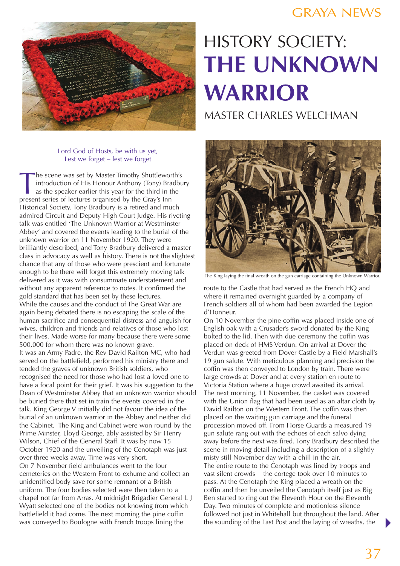

## Lord God of Hosts, be with us yet, Lest we forget – lest we forget

The scene was set by Master Timothy Shuttleworth's<br>introduction of His Honour Anthony (Tony) Bradburds as the speaker earlier this year for the third in the<br>present series of lectures organised by the Grav's Inn introduction of His Honour Anthony (Tony) Bradbury as the speaker earlier this year for the third in the present series of lectures organised by the Gray's Inn Historical Society. Tony Bradbury is a retired and much admired Circuit and Deputy High Court Judge. His riveting talk was entitled 'The Unknown Warrior at Westminster Abbey' and covered the events leading to the burial of the unknown warrior on 11 November 1920. They were brilliantly described, and Tony Bradbury delivered a master class in advocacy as well as history. There is not the slightest chance that any of those who were prescient and fortunate enough to be there will forget this extremely moving talk delivered as it was with consummate understatement and without any apparent reference to notes. It confirmed the gold standard that has been set by these lectures. While the causes and the conduct of The Great War are again being debated there is no escaping the scale of the human sacrifice and consequential distress and anguish for wives, children and friends and relatives of those who lost their lives. Made worse for many because there were some 500,000 for whom there was no known grave. It was an Army Padre, the Rev David Railton MC, who had served on the battlefield, performed his ministry there and tended the graves of unknown British soldiers, who recognised the need for those who had lost a loved one to have a focal point for their grief. It was his suggestion to the Dean of Westminster Abbey that an unknown warrior should be buried there that set in train the events covered in the talk. King George V initially did not favour the idea of the burial of an unknown warrior in the Abbey and neither did the Cabinet. The King and Cabinet were won round by the Prime Minster, Lloyd George, ably assisted by Sir Henry Wilson, Chief of the General Staff. It was by now 15 October 1920 and the unveiling of the Cenotaph was just over three weeks away. Time was very short. On 7 November field ambulances went to the four cemeteries on the Western Front to exhume and collect an unidentified body save for some remnant of a British uniform. The four bodies selected were then taken to a chapel not far from Arras. At midnight Brigadier General L J Wyatt selected one of the bodies not knowing from which battlefield it had come. The next morning the pine coffin was conveyed to Boulogne with French troops lining the

## HISTORY SOCIETY: **THE UNKNOWN WARRIOR**

MASTER CHARLES WELCHMAN



The King laying the final wreath on the gun carriage containing the Unknown Warrior.

route to the Castle that had served as the French HQ and where it remained overnight guarded by a company of French soldiers all of whom had been awarded the Legion d'Honneur.

On 10 November the pine coffin was placed inside one of English oak with a Crusader's sword donated by the King bolted to the lid. Then with due ceremony the coffin was placed on deck of HMS Verdun. On arrival at Dover the Verdun was greeted from Dover Castle by a Field Marshall's 19 gun salute. With meticulous planning and precision the coffin was then conveyed to London by train. There were large crowds at Dover and at every station en route to Victoria Station where a huge crowd awaited its arrival. The next morning, 11 November, the casket was covered with the Union flag that had been used as an altar cloth by David Railton on the Western Front. The coffin was then placed on the waiting gun carriage and the funeral procession moved off. From Horse Guards a measured 19 gun salute rang out with the echoes of each salvo dying away before the next was fired. Tony Bradbury described the scene in moving detail including a description of a slightly misty still November day with a chill in the air. The entire route to the Cenotaph was lined by troops and vast silent crowds − the cortege took over 10 minutes to pass. At the Cenotaph the King placed a wreath on the coffin and then he unveiled the Cenotaph itself just as Big Ben started to ring out the Eleventh Hour on the Eleventh Day. Two minutes of complete and motionless silence followed not just in Whitehall but throughout the land. After the sounding of the Last Post and the laying of wreaths, the

 $\blacktriangleright$